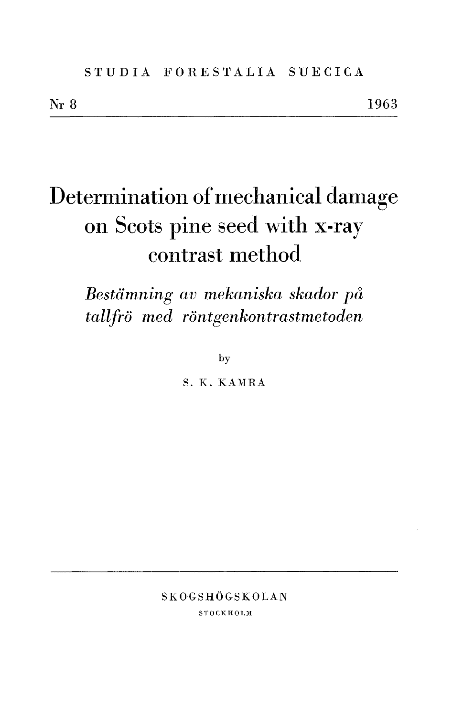# Determination of mechanical damage on Scots pine seed with x-ray contrast method

Bestämning av mekaniska skador på tallfrö med röntgenkontrastmetoden

by

S. K. KAMRA

SKOGSHÖGSKOLAN

**STOCKHOLM**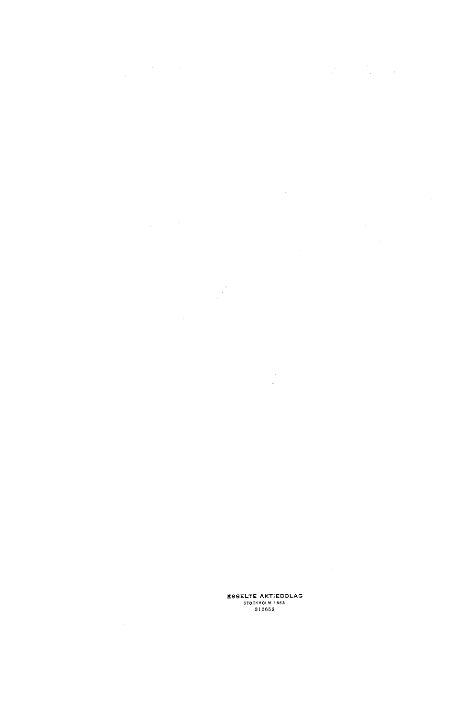# ESSELTE AKTIEBOLAG<br>
STOCKHOLM 1963<br>
812659

 $\label{eq:2.1} \begin{array}{l} \mathcal{L}_{\mathcal{A}}(\mathcal{A})=\mathcal{L}_{\mathcal{A}}(\mathcal{A})\,,\\ \mathcal{L}_{\mathcal{A}}(\mathcal{A})=\mathcal{L}_{\mathcal{A}}(\mathcal{A})\,,\\ \mathcal{L}_{\mathcal{A}}(\mathcal{A})=\mathcal{L}_{\mathcal{A}}(\mathcal{A})\,,\\ \mathcal{L}_{\mathcal{A}}(\mathcal{A})=\mathcal{L}_{\mathcal{A}}(\mathcal{A})\,,\\ \mathcal{L}_{\mathcal{A}}(\mathcal{A})=\mathcal{L}_{\mathcal{A}}(\mathcal{A})\,,\\ \mathcal{L}_{\mathcal$ 

 $\label{eq:2.1} \begin{split} \mathcal{L}_{\text{max}}(\mathbf{r}) & = \frac{1}{2} \sum_{i=1}^{N} \mathcal{L}_{\text{max}}(\mathbf{r}) \mathcal{L}_{\text{max}}(\mathbf{r}) \\ & = \frac{1}{2} \sum_{i=1}^{N} \mathcal{L}_{\text{max}}(\mathbf{r}) \mathcal{L}_{\text{max}}(\mathbf{r}) \mathcal{L}_{\text{max}}(\mathbf{r}) \\ & = \frac{1}{2} \sum_{i=1}^{N} \mathcal{L}_{\text{max}}(\mathbf{r}) \mathcal{L}_{\text{max}}(\mathbf{r}) \mathcal{L}_{\text{max}}$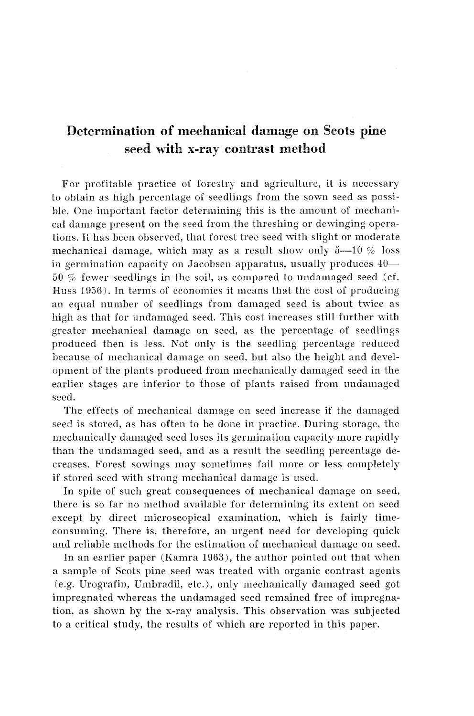# **Determination of mechanical damage on Scots pine seed with x-ray contrast method**

For profitable practice of forestry and agriculture, it is necessary to obtain as high percentage of seedlings from the somn seed as possible. One important factor determining this is the amount of mechanical damage present on the seed from the threshing or dewinging operations. It has been observed, that forest tree seed with slight or moderate mechanical damage, which may as a result show only  $5-10\%$  loss in germination capacity on Jacobsen apparatus, usually produces  $40-$ 50  $%$  fewer seedlings in the soil, as compared to undamaged seed (cf. Huss 1956). In terms of economics it means that the cost of producing an equal number of seedlings from damaged seed is about twice as high as that for undamaged seed. This cost increases still further with greater mechanical damage on seed, as the percentage of seedlings produced then is less. Not only is the seedling percentage reduced because of mechanical damage on seed, but also the height and development of the plants produced from mechanically damaged seed in the earlier stages are inferior to those of plants raised from undamaged seed.

The effects of mechanical damage on seed increase if the damaged seed is stored, as has often to be done in practice. During storage, the mechanically damaged seed loses its germination capacity more rapidly than the undamaged seed, and as a result the seedling percentage decreases. Forest sowings may sometimes fail more or less completely if stored seed with strong mechanical damage is used.

In spite of such great consequences of mechanical damage on seed, there is so far no method available for determining its extent on seed except by direct microscopical examination, which is fairly timeconsuming. There is, therefore, an urgent need for developing quick and reliable methods for the estimation of mechanical damage on seed.

In an earlier paper (Kamra 1963), the author pointed out that when a sample of Scots pine seed was treated with organic contrast agents (e.g. Urografin, Umbradil, etc.), only mechanically damaged seed got impregnated whereas the undamaged seed remained free of impregnation, as shown by the x-ray analysis. This observation was subjected to a critical study, the results of which are reported in this paper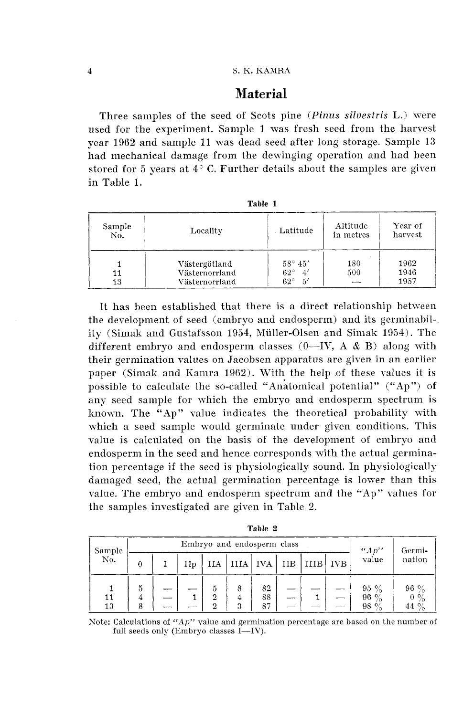#### S. K. KAMRA

## **Material**

Three samples of the seed of Scots pine (Pinus silvestris L.) were used for the experiment. Sample 1 mas fresh seed from the harvest year 1962 and sample 11 was dead seed after long storage. Sample 13 had mechanical damage from the dewinging operation and had been stored for 5 years at  $4^{\circ}$  C. Further details about the samples are given in Table 1.

| Sample<br>No. | Locality                                          | Latitude                                                   | Altitude<br>in metres | Year of<br>harvest   |  |
|---------------|---------------------------------------------------|------------------------------------------------------------|-----------------------|----------------------|--|
| 11<br>13      | Västergötland<br>Västernorrland<br>Västernorrland | $58^{\circ} 45'$<br>$62^\circ$<br>4'<br>5'<br>$62^{\circ}$ | 180<br>500            | 1962<br>1946<br>1957 |  |

**Table 1** 

It has been established that there is a direct relationship between the development of seed (embryo and endosperm) and its germinability (Simak and Gustafsson 1954, Müller-Olsen and Simak 1954). The different embryo and endosperm classes  $(0$ —IV, A  $\&$  B) along with their germination values on Jacobsen apparatus are given in an earlier paper (Simak and Kamra 1962). With the help of these values it is possible to calculate the so-called "Anatomical potential" ("Ap") of any seed sample for which the embryo and endosperm spectrum is known. The "Ap" value indicates the theoretical probability with which a seed sample would germinate under given conditions. This value is calculated on the basis of the development of embryo and endosperm in the seed and hence corresponds with the actual germination percentage if the seed is physiologically sound. In physiologically damaged seed, the actual germination percentage is lower than this value. The embryo and endosperm spectrum and the "Ap" values for the samples investigated are given in Table 2.

| Sample   |        | Embryo and endosperm class |     |                          |             |                |     |      |            | ``Ap"                      | Germi-                              |
|----------|--------|----------------------------|-----|--------------------------|-------------|----------------|-----|------|------------|----------------------------|-------------------------------------|
| No.      |        |                            | IIp | ИA                       | IIIA        | <b>IVA</b>     | IIB | IIIB | <b>IVB</b> | value                      | nation                              |
| 11<br>13 | 5<br>8 |                            |     | 5<br>2<br>$\overline{2}$ | 8<br>4<br>3 | 82<br>88<br>87 |     |      |            | $95\%$<br>96 $%$<br>98 $%$ | $96\%$<br>$0\%$<br>44 $\frac{9}{6}$ |

**Table 2** 

Note: Calculations of "Ap" value and germination percentage are based on the number of full seeds only (Embryo classes  $\check{I}$ —IV).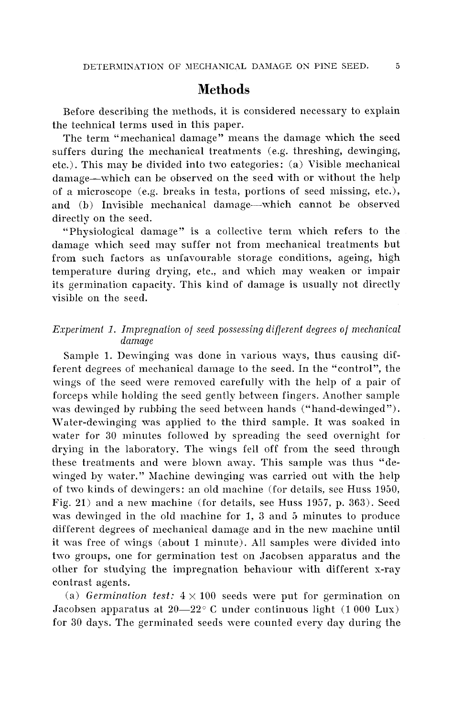## **Methods**

Before describing the methods, it is considered necessary to explain the technical terms used in this paper.

The term "mechanical damage'' means the damage which the seed suffers during the mechanical treatments (e.g. threshing, dewinging, etc.). This may be divided into two categories: (a) Visible mechanical damage-which can be observed on the seed with or without the help of a microscope (e.g. breaks in testa, portions of seed missing, etc.), and (b) Invisible mechanical damage—which cannot be observed directly on the seed.

"Physiological damage" is a coilective term which refers to the damage which seed may suffer not from mechanical treatments but from such factors as unfavourable storage conditions, ageing, high temperature during drying, etc., and which may weaken or impair its germination capacity. This kind of damage is usually not directly visible on the seed.

#### *Experiment I. Impregnation of seed possessing diflerent degrees of mechanical damage*

Sample 1. Dewinging was done in various ways, thus causing different degrees of mechanical damage to the seed. In the "control", the wings of the seed were removed carefully with the help of a pair of forceps while holding the seed gently between fingers. Another sample was dewinged by rubbing the seed between hands ("hand-dewinged"). Water-dewinging was applied to the third sample. It was soaked in water for 30 minutes followed by spreading the seed overnight for drying in the laboratory. The wings fell off from the seed through these treatments and were blown away. This sample was thus "dewinged by water." Machine dewinging was carried out with the help of two kinds of demingers: an old machine (for details, see Huss 1950, Fig. 21) and a new machine (for details, see Huss 1957, p. 363). Seed was dewinged in the old machine for 1, 3 and 5 minutes to produce different degrees of mechanical damage and in the new machine until it was free of wings (about 1 minute). All samples were divided into two groups, one for germination test on Jacobsen apparatus and the other for studying the impregnation behaviour with different x-ray contrast agents.

(a) *Germination test:*  $4 \times 100$  seeds were put for germination on Jacobsen apparatus at  $20-22^{\circ}$  C under continuous light (1 000 Lux) for 30 days. The germinated seeds were counted every day during the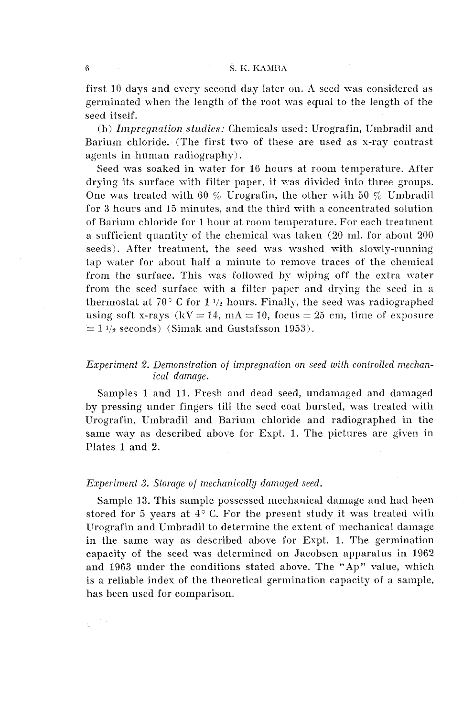first 10 days and every second day later on. A seed was considered as germinated when the length of the root was equal to the length of the seed itself.

(b) *Impregnation studies:* Chemicals used: Urografin, Umbradil and Barium chloride. (The first two of these are used as x-ray contrast agents in human radiography).

Seed was soaked in vater for 16 hours at room temperature. After drying its surface with filter paper, it was divided into three groups. One was treated with 60  $\%$  Urografin, the other with 50  $\%$  Umbradil for **3** hours and 15 minutes, and the third with a concentrated solution of Barium chloride for 1 hour at room temperature. For each treatment a sufficient quantity of the chemical was taken  $(20 \text{ ml.}$  for about  $200$ seeds). After treatment, the seed was washed with slowly-running tap water for about half a minute to remore traces of the chemical from the surface. This was followed by wiping off the extra water from the seed surface with a filter paper and drying the seed in a thermostat at  $70^{\circ}$  C for  $1\frac{1}{2}$  hours. Finally, the seed was radiographed using soft x-rays ( $kV = 14$ ,  $mA = 10$ , focus = 25 cm, time of exposure  $= 1 \frac{1}{2}$  seconds) (Simak and Gustafsson 1953).

#### *Experiment 2. Demonsfration of impregnation on seed with controlled mechanicul damage.*

Samples 1 and 11. Fresh and dead seed, undamaged and damaged by pressing under fingers till the seed coat bursted, was treated with Urografin, Urnbradil and Barium chloride and radiographed in the same way as described above for Expt. 1. The pictures are given in Plates 1 and 2.

#### *Experiment* **3.** *Storage of mechanically damaged seed.*

Sample 13. This sample possessed mechanical damage and had been stored for 5 years at  $4^{\circ}$  C. For the present study it was treated with Urografin and Umbradil to determine the extent of mechanical damage in the same way as described above for Expt. 1. The germination capacity of the seed was determined on Jacobsen apparatus in 1962 and 1963 under the conditions stated above. The "Ap" value, vhich is a reliable index of the theoretical germination capacity of a sample, has been used for comparison.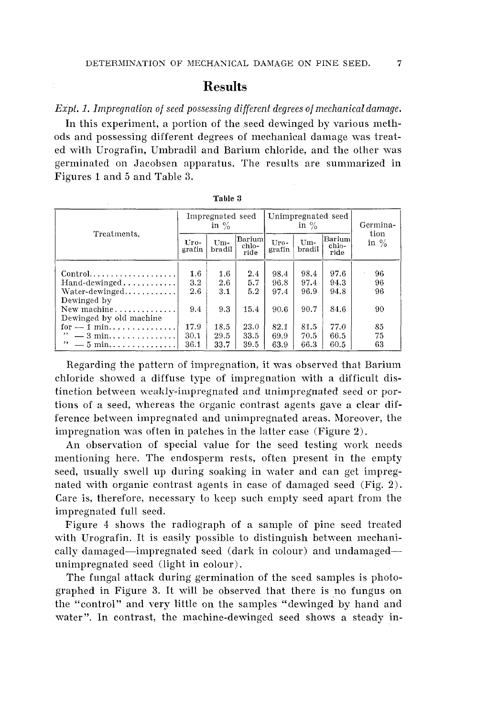## **Results**

Expt. 1. Impregnation of seed possessing different degrees of mechanical damage.

In this experiment, a portion of the seed dewinged by various methods and possessing different degrees of mechanical damage was treated with Urografin, Umbradil and Barium chloride, and the other was germinated on Jacobsen apparatus. The results are summarized in Figures 1 and 5 and Table 3.

|                                      |                | Impregnated seed<br>in $\%$ |                         | Unimpregnated seed<br>in $\%$ |               |                         | Germina-        |
|--------------------------------------|----------------|-----------------------------|-------------------------|-------------------------------|---------------|-------------------------|-----------------|
| Treatments.                          | Uro-<br>grafin | $Um-$<br>bradil             | Barium<br>chlo-<br>ride | Uro-<br>grafin                | Um-<br>bradil | Barium<br>chlo-<br>ride | tion<br>in $\%$ |
|                                      | $1.6\,$        | 1.6                         | 2.4                     | 98.4                          | 98.4          | 97.6                    | 96              |
| $Hand\text{-}dewinged \ldots \ldots$ | 3.2            | $2.6\,$                     | 5.7                     | 96.8                          | 97.4          | 94.3                    | 96              |
| $Water$ -dewinged                    | 2.6            | 3.1                         | 5.2                     | 97.4                          | 96.9          | 94.8                    | 96              |
| Dewinged by                          |                |                             |                         |                               |               |                         |                 |
| New machine                          | 9.4            | 9.3                         | 15.4                    | 90.6                          | 90.7          | 84.6                    | 90              |
| Dewinged by old machine              |                |                             |                         |                               |               |                         |                 |
| for $-1$ min                         | 17.9           | 18.5                        | 23.0                    | 82.1                          | 81.5          | 77.0                    | 85              |
| ,,<br>$-3$ min                       | 30.1           | 29.5                        | 33.5                    | 69.9                          | 70.5          | 66.5                    | 75              |
| $\ddot{ }$ $\sim$ 5 min              | 36.1           | 33.7                        | 39.5                    | 63.9                          | 66.3          | 60.5                    | 63              |

Table 3

Regarding the pattern of impregnation, it was observed that Barium chloride showed a diffuse type of impregnation with a difficult distinction between weakly-impregnated and unimpregnated seed or portions of a seed, whereas the organic contrast agents gave a clear difference between impregnated and unimpregnated areas. Moreover, the impregnation was often in patches in the latter case (Figure 2).

An observation of special value for the seed testing work needs mentioning here. The endosperm rests, often present in the empty seed, usually swell up during soaking in water and can get impregnated with organic contrast agents in case of damaged seed (Fig. 2). Care is, therefore, necessary to keep such empty seed apart from the impregnated full seed.

Figure 4 shows the radiograph of a sample of pine seed treated with Urografin. It is easily possible to distinguish between mechanically damaged-impregnated seed (dark in colour) and undamagedunimpregnated seed (light in colour).

The fungal attack during germination of the seed samples is photographed in Figure 3. It will be observed that there is no fungus on the "control" and very little on the samples "dewinged by hand and water". In contrast, the machine-dewinged seed shows a steady in-

 $\overline{7}$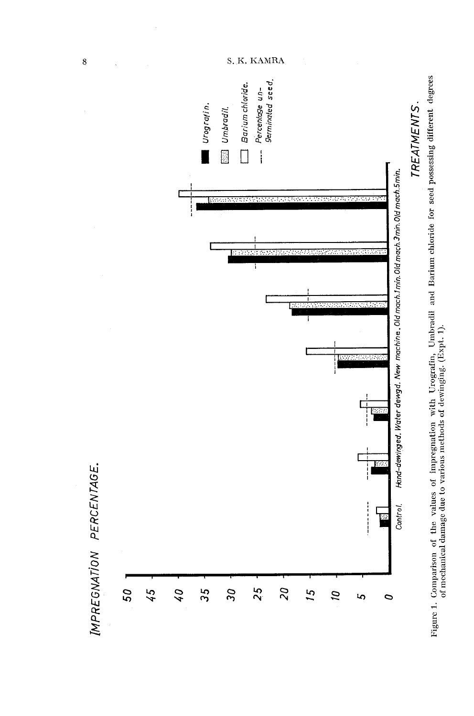

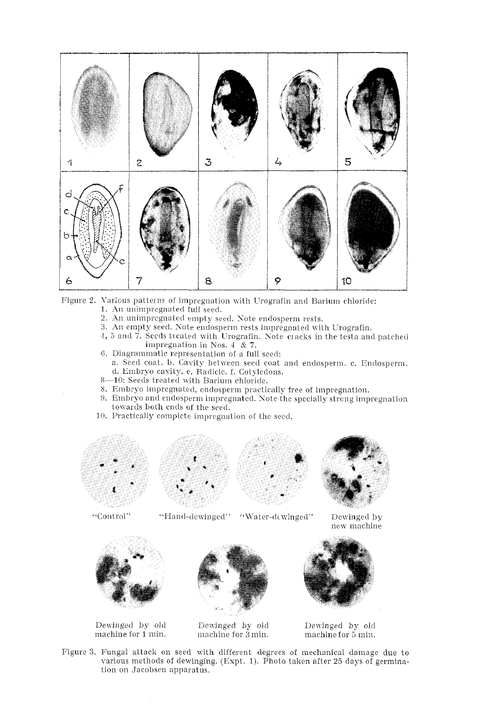

Figure 2. Various patterns of impregnation with Urografin and Barium chloride: 1. An unimpregnated full seed.

- 2. An unimpregnated empty seed. Note endosperm rests.
- 3. An empty seed. Note endosperm rests impregnated with Urografin.
- 4, 5 and 7. Seeds treated with Urografin. Note cracks in the testa and patched impregnation in Nos.  $4 \overline{8}$  7.
- 6. Diagrammatic representation of a full seed:
	- a. Seed coat. b. Cavity between seed coat and endosperm. c. Endosperm. d. Embryo cavity. e. Radicle. f. Cotyledons.
- 8-10: Seeds treated with Barium chloride.
- 8. Embryo impregnated, endosperm practically free of impregnation.
- 9. Embryo and endosperm impregnated. Note the specially streng impregnation towards both ends of the seed.
- 10. Practically complete impregnation of the seed.









Dewinged by new machine



Dewinged by old machine for 1 min.



"Hand-dewinged" "Water-dewinged"

Dewinged by old machine for 3 min.



Dewinged by old machine for 5 min.

Figure 3. Fungal attack on seed with different degrees of mechanical damage due to various methods of dewinging. (Expt. 1). Photo taken after 25 days of germination on Jacobsen apparatus.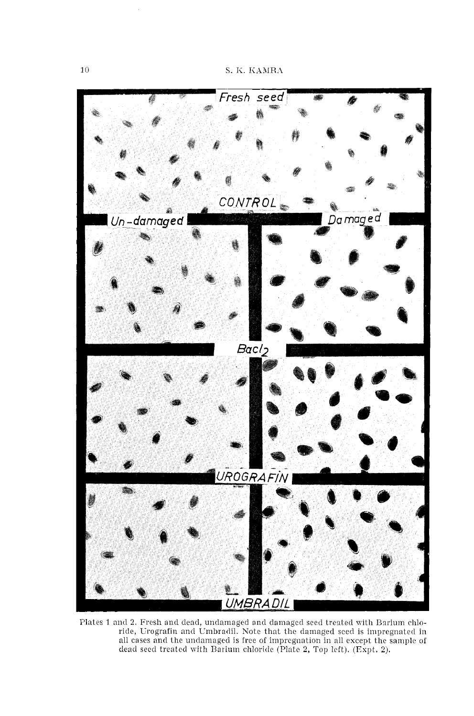

Plates 1 and 2. Fresh and dead, undamaged and damaged seed treated with Barium chloride, Urografin and Umbradil. Note that the damaged seed is impregnated in all cases and the undamaged is free of impregnation in all except the sample of dead seed treated with Barium chloride (Plate 2, Top left). (Expt. 2).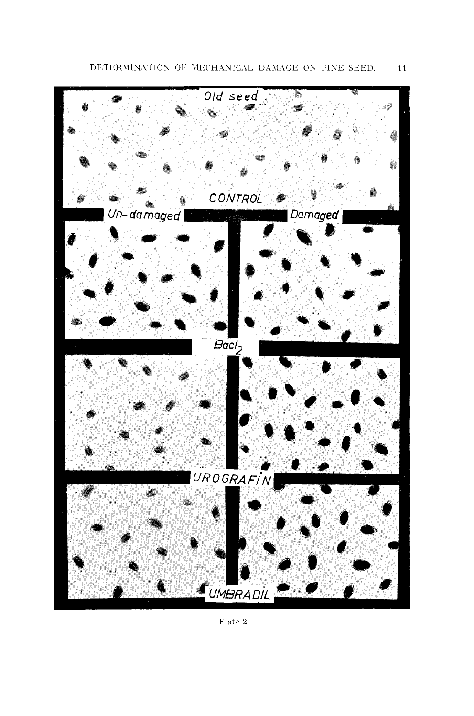

Plate 2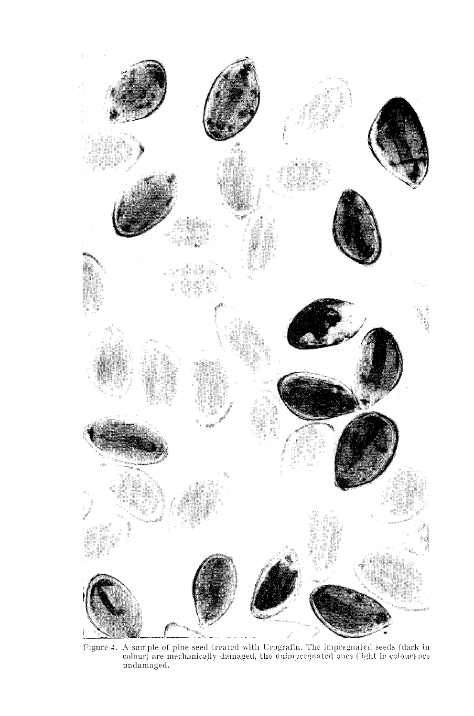

Figure 4. A sample of pine seed treated with Urografin. The impregnated seeds (dark in colour) are mechanically damaged, the unimpregnated ones (light in colour) are undamaged.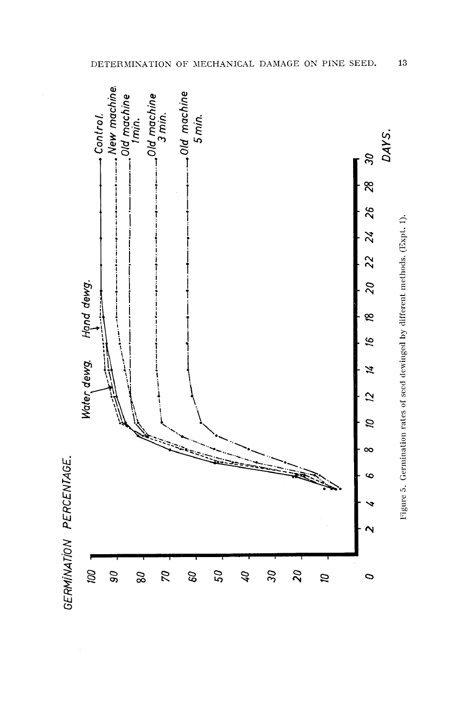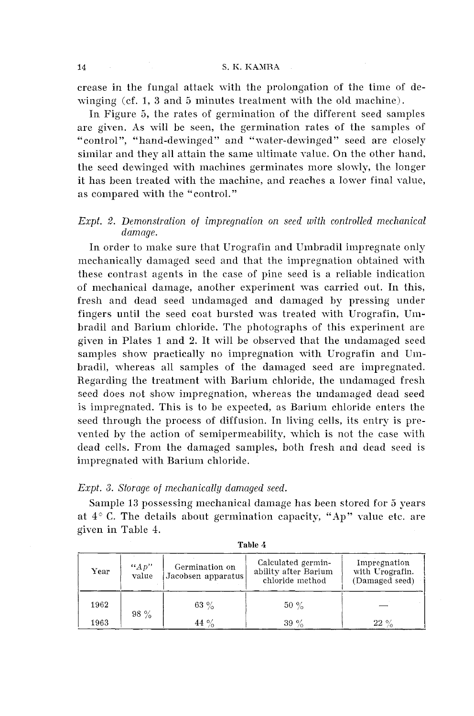crease in the fungal attack with the prolongation of the time of dewinging (cf. 1, **3** and 5 minutes treatment with the old machine).

In Figure 5, the rates of germination of the different seed samples are given. As will be seen, the germination rates of the samples of "control", "hand-dewinged" and "water-dewinged" seed are closely similar and they all attain the same ultimate value. On the other hand, the seed dewinged with machines germinates more slowly, the longer it has been treated with the machine, and reaches a lower final value, as compared with the "control."

#### *Expt. 2. Demonstration of impregnation on seed with controlled mechanical damage.*

In order to make sure that Urografin and Umbradil impregnate only mechanically damaged seed and that the impregnation obtained with these contrast agents in the case of pine seed is a reliable indication of mechanical damage, another experiment was carried out. In this, fresh and dead seed undamaged and damaged by pressing under fingers until the seed coat bursted was treated with Urografin, Umbradil and Barium chloride. The photographs of this experiment are given in Plates 1 and 2. It will be observed that the undamaged seed samples show practically no impregnation with Urografin and Umbradil, whereas all samples of the damaged seed are impregnated. Regarding the treatment with Barium chloride, the undamaged fresh seed does not show impregnation, whereas the undamaged dead seed is impregnated. This is to be expected, as Barium chloride enters the seed through the process of diffusion. In living cells, its entry is prevented by the action of semipermeability, which is not the case with dead cells. From the damaged samples, both fresh and dead seed is impregnated with Barium chloride.

#### *Expt.* **3.** *Storage of mechanically damaged seed.*

Sample 13 possessing mechanical damage has been stored for *5* years at  $4^{\circ}$  C. The details about germination capacity, "Ap" value etc. are given in Table 4.

| Year | ``Ap"<br>value | Germination on<br>Jacobsen apparatus | Calculated germin-<br>ability after Barium<br>chloride method | Impregnation<br>with Urografin.<br>(Damaged seed) |
|------|----------------|--------------------------------------|---------------------------------------------------------------|---------------------------------------------------|
| 1962 |                | 63 $\%$                              | $50 \%$                                                       |                                                   |
| 1963 | $98 \%$        | 44 $\%$                              | $39\%$                                                        | 22<br>$^{\circ}$                                  |

**Table 4**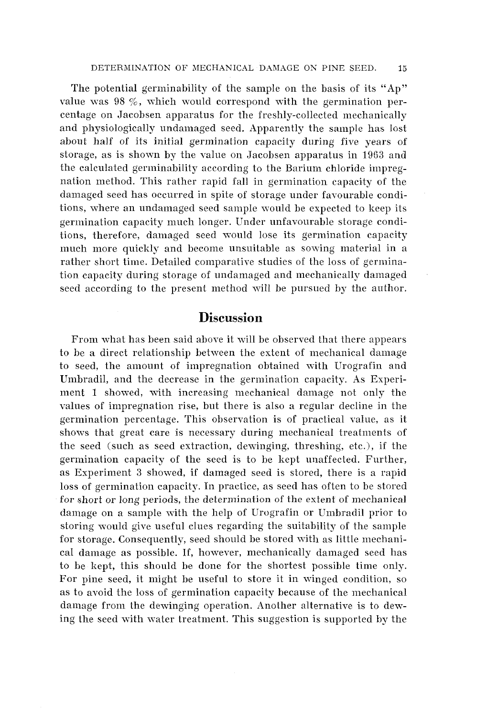The potential germinability of the sample on the basis of its "Ap" value was 98 %, which would correspond with the germination percentage on Jacobsen apparatus for the freshly-collected mechanically and physiologically undamaged seed. Apparently the sample has lost about half of its initial germination capacity during fire years of storage, as is shown by the value on Jacobsen apparatus in 1963 and the calculated germinability according to the Barium chloride impregnation method. This rather rapid fall in germination capacity of the damaged seed has occurred in spite of storage under favourable conditions, where an undamaged seed sample mould be expected to keep its germination capacity much longer. Under unfavourable storage conditions, therefore, damaged seed would lose its germination capacity much more quickly and become unsuitable as sowing material in a rather short time. Detailed comparative studies of the loss of germination capacity during storage of undamaged and mechanically damaged seed according to the present method will be pursued by the author.

## **Discussion**

From what has been said above it will be observed that there appears to be a direct relationship between the extent of mechanical damage to seed, the amount of impregnation obtained with Urografin and Umbradil, and the decrease in the germination capacity. As Experiment 1 showed, with increasing mechanical damage not only the values of impregnation rise, but there is also a regular decline in the germination percentage. This observation is of practical value, as it shows that great care is necessary during mechanical treatments of the seed (such as seed extraction, dewinging, threshing, etc.), if the germination capacity of the seed is to be kept unaffected. Further, as Experiment 3 showed, if damaged seed is stored, there is a rapid loss of germination capacity. In practice, as seed has often to be stored for short or long periods, the determination of the extent of mechanical damage on a sample with the help of Urografin or Umbradil prior to storing would give useful clues regarding the suitability of the sample for storage. Consequently, seed should be stored with as little mechanical damage as possible. If, however, mechanically damaged seed has to be kept, this should be done for the shortest possible time only. For pine seed, it might be useful to store it in winged condition, so as to avoid the loss of germination capacity because of the mechanical damage from the dewinging operation. Another alternative is to dewing the seed with water treatment. This suggestion is supported by the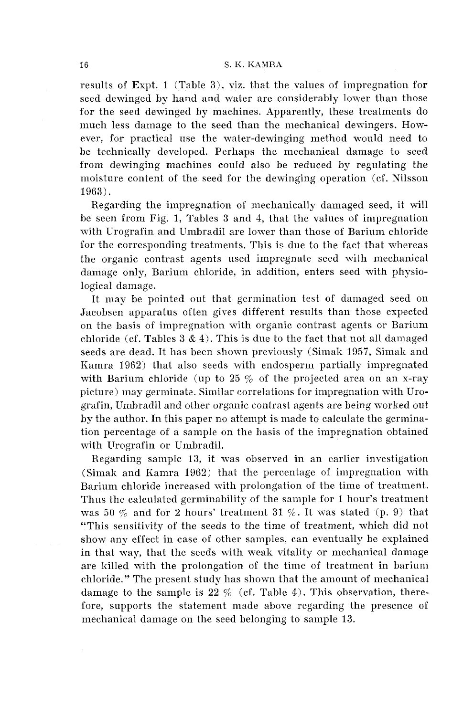results of Expt. 1 (Table 3), viz. that the values of impregnation for seed deminged by hand and water are considerably lower than those for the seed dewinged by machines. Apparently, these treatments do much less damage to the seed than the mechanical dewingers. However, for practical use the water-dewinging method would need to he technically developed. Perhaps the mechanical damage to seed from dewinging machines could also be reduced by regulating the moisture content of the seed for the dewinging operation (cf. Nilsson 1963).

Regarding the impregnation of mechanically damaged seed, it will be seen from Fig. 1, Tables 3 and 4, that the values of impregnation with Urografin and Umbradil are lower than those of Barium chloride for the corresponding treatments. This is due to the fact that whereas the organic contrast agents used impregnate seed with mechanical damage only, Barium chloride, in addition, enters seed with physiological damage.

It may be pointed out that germination test of damaged seed on Jacobsen apparatus often gives different results than those expected on the basis of impregnation with organic contrast agents or Barium chloride (cf. Tables  $3 \& 4$ ). This is due to the fact that not all damaged seeds are dead. It has been shown previously (Simak 1957, Simak and Kamra 1962) that also seeds with endosperm partially impregnated with Barium chloride (up to  $25\%$  of the projected area on an x-ray picture) may germinate. Similar correlations for impregnation with Urografin, Umbradil and other organic contrast agents are being worked out by the author. In this paper no attempt is made to calculate the germination percentage of a sample on the basis of the impregnation obtained with Urografin or Umbradil.

Regarding sample 13, it was observed in an earlier investigation (Simak and Kamra 1962) that the percentage of impregnation with Barium chloride increased with prolongation of the time of treatment. Thus the calculated germinability of the sample for 1 hour's treatment was 50  $\%$  and for 2 hours' treatment 31  $\%$ . It was stated (p. 9) that "This sensitivity of the seeds to the time of treatment, which did not show any effect in case of other samples, can eventually be explained in that way, that the seeds with weak vitality or mechanical damage are killed with the prolongation of the time of treatment in barium chloride." The present study has shown that the amount of mechanical damage to the sample is 22 % (cf. Table 4). This observation, therefore, supports the statement made above regarding the presence of mechanical damage on the seed belonging to sample 13.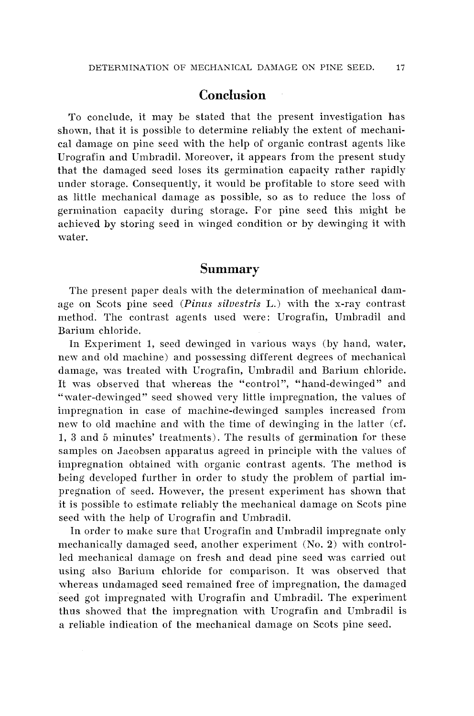## **Conclusion**

To conclude, it may be stated that the present investigation has shown, that it is possible to determine reliably the extent of mechanical damage on pine seed with the help of organic contrast agents like Urografin and Umbradil. Moreover, it appears from the present study that the damaged seed loses its germination capacity rather rapidly under storage. Consequently, it would be profitable to store seed with as little mechanical damage as possible, so as to reduce the loss of germination capacity during storage. For pine seed this might be achieved by storing seed in winged condition or by dewinging it with water.

## **Summary**

The present paper deals with the determination of mechanical damage on Scots pine seed (Pinus silvestris L.) with the x-ray contrast method. The contrast agents used were: Urografin, Umbradil and Barium chloride.

In Experiment 1, seed dewinged in various ways (by hand, water, new and old machine) and possessing different degrees of mechanical damage, was treated with Crografin, Umbradil and Barium chloride. It was observed that whereas the "control", "hand-dewinged" and "water-dewinged" seed showed very little impregnation, the values of impregnation in case of machine-dewinged samples increased from new to old machine and with the time of dewinging in the latter (cf. 1, **3** and 5 minutes' treatments). The results of germination for these samples on Jacobsen apparatus agreed in principle with the values of impregnation obtained with organic contrast agents. The method is being developed further in order to study the problem of partial impregnation of seed. However, the present experiment has shown that it is possible to estimate reliably the mechanical damage on Scots pine seed with the help of Urografin and Umbradil.

In order to make sure that Urografin and Umbradil impregnate only mechanically damaged seed, another experiment (No. 2) with controlled mechanical damage on fresh and dead pine seed was carried out using also Barium chloride for comparison, It was observed that whereas undamaged seed remained free of impregnation, the damaged seed got impregnated with Urografin and Umbradil. The experiment thus showed that the impregnation with Urografin and Umbradil is a reliable indication of the mechanical damage on Scots pine seed.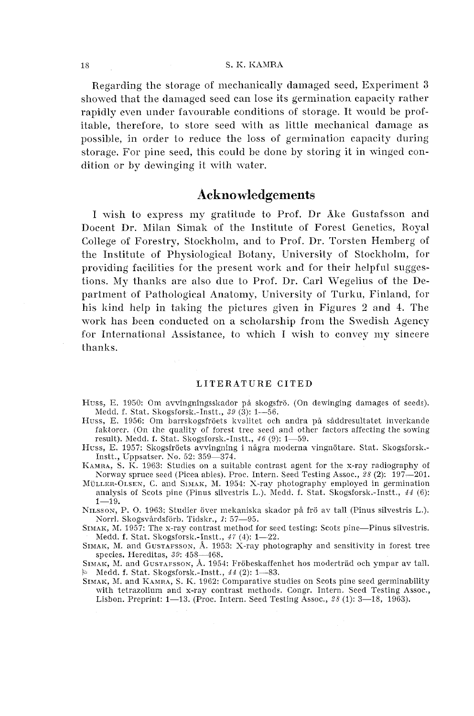#### S. K. KAMRA

Regarding the storage of mechanically damaged seed, Experiment 3 showed that the damaged seed can lose its germination capacity rather rapidly even under fayourable conditions of storage. It would be profitable, therefore, to store seed with as little mechanical damage as possible, in order to reduce the loss of germination capacity during storage. For pine seed, this could be done by storing it in winged condition or by dewinging it with water.

## **Acknowledgements**

I wish to express my gratitude to Prof. Dr Åke Gustafsson and Docent Dr. Milan Simak of the Institute of Forest Genetics, Royal College of Forestry, Stockholm, and to Prof. Dr. Torsten Hemberg of the Institute of Physiological Botany, University of Stockholm, for providing facilities for the present work and for their helpful suggestions. My thanks are also due to Prof. Dr. Carl Wegelius of the Department of Pathological Anatomy, University of Turku, Finland, for his kind help in taking the pictures given in Figures 2 and 4. The work has been conducted on a scholarship from the Swedish Agency for International Assistance, to which I wish to convey my sincere thanks.

#### LITERATURE CITED

- Huss, E. 1950: Om avvingningsskador på skogsfrö. (On dewinging damages of seeds). Medd. f. Stat. Skogsforsk.-Instt.,  $39$  (3): 1-56.
- Huss, E. 1956: Om barrskogsfröets kvalitet och andra på såddresultatet inverkande faktorer. (On the quality of forest tree seed and other factors affecting the sowing result). Medd. f. Stat. Skogsforsk.-Instt.,  $46$  (9):  $1-59$ .
- Huss, E. 1957: Skogsfröets avvingning i några moderna vingnötare. Stat. Skogsforsk.-Instt., Uppsatser. No. 52: 359-374.
- KAMRA, S. K. 1963: Studies on a suitable contrast agent for the x-ray radiography of Korway spruce seed (Picea abies). Proc. Intern. Seed Testing Assoc., 28 (2): 197-201.
- MÜLLER-OLSEN, C. and SIMAK, M. 1954: X-ray photography employed in germination analysis of Scots pine (Pinus silvestris L.). Medd. f. Stat. Skogsforsk.-Instt.,  $44$  (6):  $1 - 19$ .

NILSSON, P. O. 1963: Studier över mekaniska skador på frö av tall (Pinus silvestris L.). Norrl. Skogsvårdsförb. Tidskr., 1: 57-95.

SIMAK, M. 1957: The x-ray contrast method for seed testing: Scots pine-Pinus silvestris. Medd. f. Stat. Skogsforsk.-Instt., 47 (4): 1-22.

SIMAK, M. and GUSTAFSSON, Å. 1953:  $\overrightarrow{X}$ -ray photography and sensitivity in forest tree species. Hereditas, 39: 458-468.

SIMAK, M. and GUSTAFSSON, Å. 1954: Fröbeskaffenhet hos moderträd och ympar av tall. **b** Medd. f. Stat. Skogsforsk.-Instt.,  $44$  (2): 1-83.

SIMAK, M. and KAMRA, S. K. 1962: Comparative studies on Scots pine seed germinability with tetrazolium and x-ray contrast methods. Congr. Intern. Seed Testing Assoc., Lisbon. Preprint: 1—13. (Proc. Intern. Seed Testing Assoc., 28 (1): 3—18, 1963).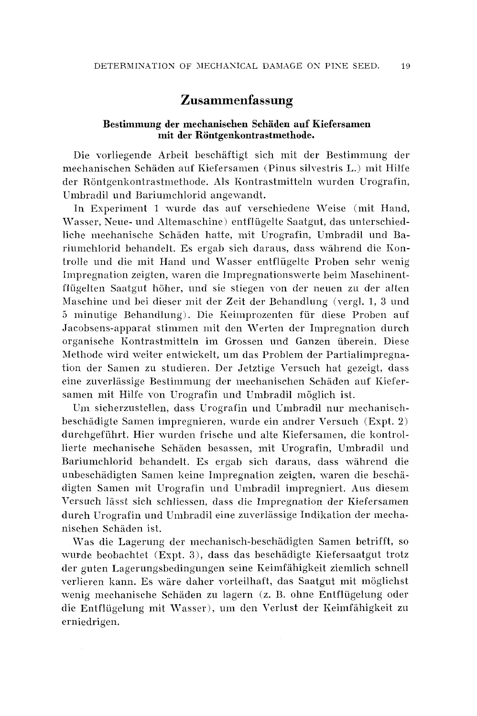## **Zusammenfassung**

#### **Bestimmung der mechanisehen Schaden auf Kiefersamen mit der Rontgenkontrastmethode.**

Die vorliegende Arbeit beschaftigt sich niit der Bestimmung der mechanischen Schäden auf Kiefersamen (Pinus silvestris L.) mit Hilfe der Röntgenkontrastmethode. Als Kontrastmitteln wurden Urografin, Umbradil und Bariumchlorid angewandt.

In Experiment 1 wurde das auf verschiedene Weise (mit Hand, \l'asser, Neue- und Alteniaschine) entfliigelte Saatgut, das unterschiedliche mechanische Schäden hatte, mit Urografin, Umbradil und Bariumchlorid behandelt. Es ergab sich daraus, dass während die Kontrolle und die mit Hand und Wasser entflügelte Proben sehr wenig Impregnation zeigten, waren die Impregnationswerte beim Maschinentflügelten Saatgut höher, und sie stiegen von der neuen zu der alten hlaschine und bei dieser init der Zeit der Behandlung (vergl. 1, **3** und *5* minutige Behandlung). Die Keimprozenten fiir diese Proben auf Jacobsens-apparat stimmen mit den Werten der Impregnation durch organische Kontrastmitteln im Grossen und Ganzen iiberein. Diese Methode wird weiter entwickelt, um das Problem der Partialimpregnation der Samen zu studieren. Der Jetztige Versach hat gezeigt, dass eine zuverlässige Bestimmung der mechanischen Schäden auf Kiefersamen mit Hilfe von Urografin und Umbradil möglich ist.

Um sicherzustellen, dass Urografin und Umbradil nur mechanischbeschädigte Samen impregnieren, wurde ein andrer Versuch (Expt. 2) durchgeführt. Hier wurden frische und alte Kiefersamen, die kontrollierte mechanische Schäden besassen, mit Urografin, Umbradil und Bariumchlorid behandelt. Es ergab sich daraus, dass mahrend die unheschadigten Samen keine Impregnation zeigten, waren die beschadigten Samen mit Urografin und Umbradil impregniert. Aus diesem Versuch lässt sich schliessen, dass die Impregnation der Kiefersamen durch Urografin und Umbradil eine zuverlässige Indikation der mechanischen Schaden ist.

Was die Lagerung der mechanisch-beschadigten Samen betrifft, so wurde beobachtet (Expt. 3), dass das beschädigte Kiefersaatgut trotz der guten Lagerungsbedingungen seine Keimfähigkeit ziemlich schnell verlieren kann. Es wäre daher vorteilhaft, das Saatgut mit möglichst wenig mechanische Schaden zu lagern (z. B. ohne Entfliigelung oder die Entflügelung mit Wasser), um den Verlust der Keimfähigkeit zu erniedrigen.